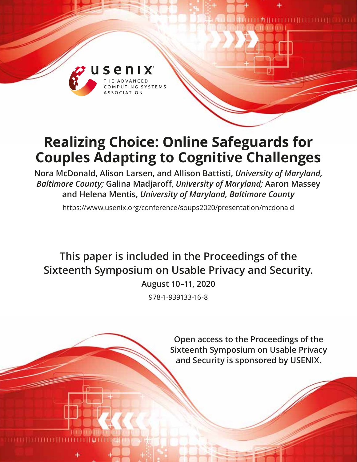

# **Realizing Choice: Online Safeguards for Couples Adapting to Cognitive Challenges**

**Nora McDonald, Alison Larsen, and Allison Battisti,** *University of Maryland, Baltimore County;* **Galina Madjaroff,** *University of Maryland;* **Aaron Massey and Helena Mentis,** *University of Maryland, Baltimore County*

https://www.usenix.org/conference/soups2020/presentation/mcdonald

**This paper is included in the Proceedings of the Sixteenth Symposium on Usable Privacy and Security.**

**August 10–11, 2020**

978-1-939133-16-8

**Open access to the Proceedings of the Sixteenth Symposium on Usable Privacy and Security is sponsored by USENIX.**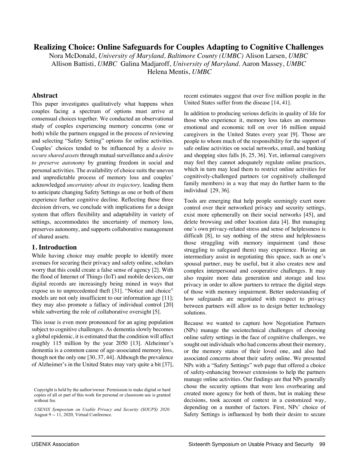# **Realizing Choice: Online Safeguards for Couples Adapting to Cognitive Challenges**

Nora McDonald, *University of Maryland, Baltimore County (UMBC)* Alison Larsen, *UMBC* Allison Battisti, *UMBC* Galina Madjaroff, *University of Maryland.* Aaron Massey, *UMBC* 

Helena Mentis, *UMBC* 

## **Abstract**

This paper investigates qualitatively what happens when couples facing a spectrum of options must arrive at consensual choices together. We conducted an observational study of couples experiencing memory concerns (one or both) while the partners engaged in the process of reviewing and selecting "Safety Setting" options for online activities. Couples' choices tended to be influenced by a *desire to secure shared assets*through mutual surveillance and a *desire to preserve autonomy* by granting freedom in social and personal activities. The availability of choice suits the uneven and unpredictable process of memory loss and couples' acknowledged *uncertainty about its trajectory,* leading them to anticipate changing Safety Settings as one or both of them experience further cognitive decline. Reflecting these three decision drivers, we conclude with implications for a design system that offers flexibility and adaptability in variety of settings, accommodates the uncertainty of memory loss, preserves autonomy, and supports collaborative management of shared assets.

#### **1. Introduction**

While having choice may enable people to identify more avenues for securing their privacy and safety online, scholars worry that this could create a false sense of agency [2]. With the flood of Internet of Things (IoT) and mobile devices, our digital records are increasingly being mined in ways that expose us to unprecedented theft [31]. "Notice and choice" models are not only insufficient to our information age [11]; they may also promote a fallacy of individual control [20] while subverting the role of collaborative oversight [5].

This issue is even more pronounced for an aging population subject to cognitive challenges. As dementia slowly becomes a global epidemic, it is estimated that the condition will affect roughly 115 million by the year 2050 [13]. Alzheimer's dementia is a common cause of age-associated memory loss, though not the only one [30, 37, 44]. Although the prevalence of Alzheimer's in the United States may vary quite a bit [37],

recent estimates suggest that over five million people in the United States suffer from the disease [14, 41].

In addition to producing serious deficits in quality of life for those who experience it, memory loss takes an enormous emotional and economic toll on over 16 million unpaid caregivers in the United States every year [9]. Those are people to whom much of the responsibility for the support of safe online activities on social networks, email, and banking and shopping sites falls [6, 25, 36]. Yet, informal caregivers may feel they cannot adequately regulate online practices, which in turn may lead them to restrict online activities for cognitively-challenged partners (or cognitively challenged family members) in a way that may do further harm to the individual [29, 36].

Tools are emerging that help people seemingly exert more control over their networked privacy and security settings, exist more ephemerally on their social networks [45], and delete browsing and other location data [4]. But managing one's own privacy-related stress and sense of helplessness is difficult [8], to say nothing of the stress and helplessness those struggling with memory impairment (and those struggling to safeguard them) may experience. Having an intermediary assist in negotiating this space, such as one's spousal partner, may be useful, but it also creates new and complex interpersonal and cooperative challenges. It may also require more data generation and storage and less privacy in order to allow partners to retrace the digital steps of those with memory impairment. Better understanding of how safeguards are negotiated with respect to privacy between partners will allow us to design better technology solutions.

Because we wanted to capture how Negotiation Partners (NPs) manage the sociotechnical challenges of choosing online safety settings in the face of cognitive challenges, we sought out individuals who had concerns about their memory, or the memory status of their loved one, and also had associated concerns about their safety online. We presented NPs with a "Safety Settings" web page that offered a choice of safety-enhancing browser extensions to help the partners manage online activities. Our findings are that NPs generally chose the security options that were less overbearing and created more agency for both of them, but in making these decisions, took account of context in a customized way, depending on a number of factors. First, NPs' choice of Safety Settings is influenced by both their desire to secure

.

Copyright is held by the author/owner. Permission to make digital or hard copies of all or part of this work for personal or classroom use is granted without fee.

*USENIX Symposium on Usable Privacy and Security (SOUPS) 2020*. August 9 -- 11, 2020, Virtual Conference.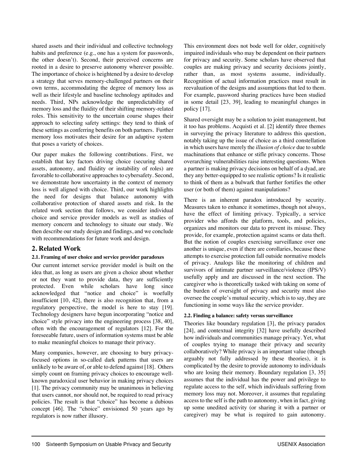shared assets and their individual and collective technology habits and preference (e.g., one has a system for passwords, the other doesn't). Second, their perceived concerns are rooted in a desire to preserve autonomy wherever possible. The importance of choice is heightened by a desire to develop a strategy that serves memory-challenged partners on their own terms, accommodating the degree of memory loss as well as their lifestyle and baseline technology aptitudes and needs. Third, NPs acknowledge the unpredictability of memory loss and the fluidity of their shifting memory-related roles. This sensitivity to the uncertain course shapes their approach to selecting safety settings: they tend to think of these settings as conferring benefits on both partners. Further memory loss motivates their desire for an adaptive system that poses a variety of choices.

Our paper makes the following contributions. First, we establish that key factors driving choice (securing shared assets, autonomy, and fluidity or instability of roles) are favorable to collaborative approaches to cybersafety. Second, we demonstrate how uncertainty in the context of memory loss is well aligned with choice. Third, our work highlights the need for designs that balance autonomy with collaborative protection of shared assets and risk. In the related work section that follows, we consider individual choice and service provider models as well as studies of memory concern and technology to situate our study. We then describe our study design and findings, and we conclude with recommendations for future work and design.

# **2. Related Work**

## **2.1. Framing of user choice and service provider paradoxes**

Our current internet service provider model is built on the idea that, as long as users are given a choice about whether or not they want to provide data, they are sufficiently protected. Even while scholars have long since acknowledged that "notice and choice" is woefully insufficient [10, 42], there is also recognition that, from a regulatory perspective, the model is here to stay [19]. Technology designers have begun incorporating "notice and choice" style privacy into the engineering process [38, 40], often with the encouragement of regulators [12]. For the foreseeable future, users of information systems must be able to make meaningful choices to manage their privacy.

Many companies, however, are choosing to bury privacyfocused options in so-called dark patterns that users are unlikely to be aware of, or able to defend against [18]. Others simply count on framing privacy choices to encourage wellknown paradoxical user behavior in making privacy choices [1]. The privacy community may be unanimous in believing that users cannot, nor should not, be required to read privacy policies. The result is that "choice" has become a dubious concept [46]. The "choice" envisioned 50 years ago by regulators is now rather illusory.

This environment does not bode well for older, cognitively impaired individuals who may be dependent on their partners for privacy and security. Some scholars have observed that couples are making privacy and security decisions jointly, rather than, as most systems assume, individually. Recognition of actual information practices must result in reevaluation of the designs and assumptions that led to them. For example, password sharing practices have been studied in some detail [23, 39], leading to meaningful changes in policy [17].

Shared oversight may be a solution to joint management, but it too has problems. Acquisti et al. [2] identify three themes in surveying the privacy literature to address this question, notably taking up the issue of choice as a third constellation in which users have merely the *illusion of choice* due to subtle machinations that enhance or stifle privacy concerns. Those overarching vulnerabilities raise interesting questions. When a partner is making privacy decisions on behalf of a dyad, are they any better-equipped to see realistic options? Is it realistic to think of them as a bulwark that further fortifies the other user (or both of them) against manipulations?

There is an inherent paradox introduced by security. Measures taken to enhance it sometimes, though not always, have the effect of limiting privacy. Typically, a service provider who affords the platform, tools, and policies, organizes and monitors our data to prevent its misuse. They provide, for example, protection against scams or data theft. But the notion of couples exercising surveillance over one another is unique, even if there are corollaries, because these attempts to exercise protection fall outside normative models of privacy. Analogs like the monitoring of children and survivors of intimate partner surveillance/violence (IPS/V) usefully apply and are discussed in the next section. The caregiver who is theoretically tasked with taking on some of the burden of oversight of privacy and security must also oversee the couple's mutual security, which is to say, they are functioning in some ways like the service provider.

## **2.2. Finding a balance: safety versus surveillance**

Theories like boundary regulation [3], the privacy paradox [24], and contextual integrity [32] have usefully described how individuals and communities manage privacy. Yet, what of couples trying to manage their privacy and security collaboratively? While privacy is an important value (though arguably not fully addressed by these theories), it is complicated by the desire to provide autonomy to individuals who are losing their memory. Boundary regulation [3, 35] assumes that the individual has the power and privilege to regulate access to the self, which individuals suffering from memory loss may not. Moreover, it assumes that regulating access to the self is the path to autonomy, when in fact, giving up some unedited activity (or sharing it with a partner or caregiver) may be what is required to gain autonomy.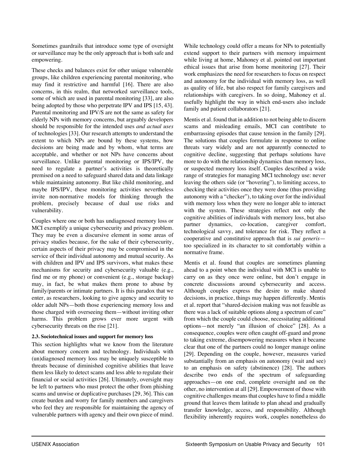Sometimes guardrails that introduce some type of oversight or surveillance may be the only approach that is both safe and empowering.

These checks and balances exist for other unique vulnerable groups, like children experiencing parental monitoring, who may find it restrictive and harmful [16]. There are also concerns, in this realm, that networked surveillance tools, some of which are used in parental monitoring [33], are also being adopted by those who perpetrate IPV and IPS [15, 43]. Parental monitoring and IPV/S are not the same as safety for elderly NPs with memory concerns, but arguably developers should be responsible for the intended uses *and actual uses* of technologies [33]. Our research attempts to understand the extent to which NPs are bound by these systems, how decisions are being made and by whom, what terms are acceptable, and whether or not NPs have concerns about surveillance. Unlike parental monitoring or IPS/IPV, the need to regulate a partner's activities is theoretically premised on a need to safeguard shared data and data linkage while maintaining autonomy. But like child monitoring, and maybe IPS/IPV, these monitoring activities nevertheless invite non-normative models for thinking through the problem, precisely because of dual use risks and vulnerability.

Couples where one or both has undiagnosed memory loss or MCI exemplify a unique cybersecurity and privacy problem. They may be even a discursive element in some areas of privacy studies because, for the sake of their cybersecurity, certain aspects of their privacy may be compromised in the service of their individual autonomy and mutual security. As with children and IPV and IPS survivors, what makes these mechanisms for security and cybersecurity valuable (e.g., find me or my phone) or convenient (e.g., storage backup) may, in fact, be what makes them prone to abuse by family/parents or intimate partners. It is this paradox that we enter, as researchers, looking to give agency and security to older adult NPs—both those experiencing memory loss and those charged with overseeing them—without inviting other harms. This problem grows ever more urgent with cybersecurity threats on the rise [21].

## **2.3. Sociotechnical issues and support for memory loss**

This section highlights what we know from the literature about memory concern and technology. Individuals with (un)diagnosed memory loss may be uniquely susceptible to threats because of diminished cognitive abilities that leave them less likely to detect scams and less able to regulate their financial or social activities [26]. Ultimately, oversight may be left to partners who must protect the other from phishing scams and unwise or duplicative purchases [29, 36]. This can create burden and worry for family members and caregivers who feel they are responsible for maintaining the agency of vulnerable partners with agency and their own piece of mind.

While technology could offer a means for NPs to potentially extend support to their partners with memory impairment while living at home, Mahoney et al. pointed out important ethical issues that arise from home monitoring [27]. Their work emphasizes the need for researchers to focus on respect and autonomy for the individual with memory loss, as well as quality of life, but also respect for family caregivers and relationships with caregivers. In so doing, Mahoney et al. usefully highlight the way in which end-users also include family and patient collaborators [21].

Mentis et al. found that in addition to not being able to discern scams and misleading emails, MCI can contribute to embarrassing episodes that cause tension in the family [29]. The solutions that couples formulate in response to online threats vary widely and are not apparently connected to cognitive decline, suggesting that perhaps solutions have more to do with the relationship dynamics than memory loss, or suspected memory loss itself. Couples described a wide range of strategies for managing MCI technology use: never leaving the others side (or "hovering"), to limiting access, to checking their activities once they were done (thus providing autonomy with a "checker"), to taking over for the individual with memory loss when they were no longer able to interact with the system. These strategies reflect not only the cognitive abilities of individuals with memory loss, but also partner dynamics, co-location, caregiver comfort, technological savvy, and tolerance for risk. They reflect a cooperative and constitutive approach that is *sui generis* too specialized in its character to sit comfortably within a normative frame.

Mentis et al. found that couples are sometimes planning ahead to a point when the individual with MCI is unable to carry on as they once were online, but don't engage in concrete discussions around cybersecurity and access. Although couples express the desire to make shared decisions, in practice, things may happen differently. Mentis et al. report that "shared-decision making was not feasible as there was a lack of suitable options along a spectrum of care" from which the couple could choose, necessitating additional options—not merely "an illusion of choice" [28]. As a consequence, couples were often caught off-guard and prone to taking extreme, disempowering measures when it became clear that one of the partners could no longer manage online [29]. Depending on the couple, however, measures varied substantially from an emphasis on autonomy (wait and see) to an emphasis on safety (abstinence) [28]. The authors describe two ends of the spectrum of safeguarding approaches—on one end, complete oversight and on the other, no intervention at all [29]. Empowerment of those with cognitive challenges meansthat couples have to find a middle ground that leaves them latitude to plan ahead and gradually transfer knowledge, access, and responsibility. Although flexibility inherently requires work, couples nonetheless do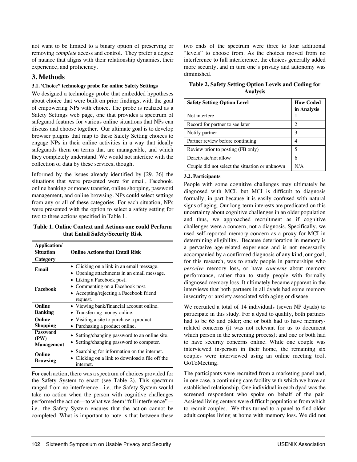not want to be limited to a binary option of preserving or removing *complete* access and control. They prefer a degree of nuance that aligns with their relationship dynamics, their experience, and proficiency.

# **3. Methods**

# **3.1. 'Choice" technology probe for online Safety Settings**

We designed a technology probe that embedded hypotheses about choice that were built on prior findings, with the goal of empowering NPs with choice. The probe is realized as a Safety Settings web page, one that provides a spectrum of safeguard features for various online situations that NPs can discuss and choose together. Our ultimate goal is to develop browser plugins that map to these Safety Setting choices to engage NPs in their online activities in a way that ideally safeguards them on terms that are manageable, and which they completely understand. We would not interfere with the collection of data by these services, though.

Informed by the issues already identified by [29, 36] the situations that were presented were for email, Facebook, online banking or money transfer, online shopping, password management, and online browsing. NPs could select settings from any or all of these categories. For each situation, NPs were presented with the option to select a safety setting for two to three actions specified in Table 1.

**Table 1. Online Context and Actions one could Perform that Entail Safety/Security Risk**

| Application/<br>Situation<br>Category | <b>Online Actions that Entail Risk</b>                                                                               |
|---------------------------------------|----------------------------------------------------------------------------------------------------------------------|
| Email                                 | • Clicking on a link in an email message.<br>Opening attachments in an email message.                                |
| Facebook                              | • Liking a Facebook post.<br>• Commenting on a Facebook post.<br>• Accepting/rejecting a Facebook friend<br>request. |
| Online<br><b>Banking</b>              | • Viewing bank/financial account online.<br>• Transferring money online.                                             |
| Online<br>Shopping                    | • Visiting a site to purchase a product.<br>• Purchasing a product online.                                           |
| Password<br>(PW)<br><b>Management</b> | • Setting/changing password to an online site.<br>• Setting/changing password to computer.                           |
| Online<br><b>Browsing</b>             | • Searching for information on the internet.<br>Clicking on a link to download a file off the<br>internet.           |

For each action, there was a spectrum of choices provided for the Safety System to enact (see Table 2). This spectrum ranged from no interference—i.e., the Safety System would take no action when the person with cognitive challenges performed the action—to what we deem "full interference" i.e., the Safety System ensures that the action cannot be completed. What is important to note is that between these

two ends of the spectrum were three to four additional "levels" to choose from. As the choices moved from no interference to full interference, the choices generally added more security, and in turn one's privacy and autonomy was diminished.

**Table 2. Safety Setting Option Levels and Coding for Analysis**

| <b>Safety Setting Option Level</b>             | <b>How Coded</b>            |  |
|------------------------------------------------|-----------------------------|--|
|                                                | in Analysis                 |  |
| Not interfere                                  |                             |  |
| Record for partner to see later                | $\mathcal{D}_{\mathcal{L}}$ |  |
| Notify partner                                 | 3                           |  |
| Partner review before continuing               | 4                           |  |
| Review prior to posting (FB only)              | 5                           |  |
| Deactivate/not allow                           | 6                           |  |
| Couple did not select the situation or unknown | N/A                         |  |

## **3.2. Participants**

People with some cognitive challenges may ultimately be diagnosed with MCI, but MCI is difficult to diagnosis formally, in part because it is easily confused with natural signs of aging. Our long-term interests are predicated on this uncertainty about cognitive challenges in an older population and thus, we approached recruitment as if cognitive challenges were a concern, not a diagnosis. Specifically, we used self-reported memory concern as a proxy for MCI in determining eligibility. Because deterioration in memory is a pervasive age-related experience and is not necessarily accompanied by a confirmed diagnosis of any kind, our goal, for this research, was to study people in partnerships who *perceive* memory loss, or have *concerns* about memory performance, rather than to study people with formally diagnosed memory loss. It ultimately became apparent in the interviews that both partners in all dyads had some memory insecurity or anxiety associated with aging or disease

We recruited a total of 14 individuals (seven NP dyads) to participate in this study. For a dyad to qualify, both partners had to be 65 and older; one or both had to have memoryrelated concerns (it was not relevant for us to document which person in the screening process); and one or both had to have security concerns online. While one couple was interviewed in-person in their home, the remaining six couples were interviewed using an online meeting tool, GoToMeeting.

The participants were recruited from a marketing panel and, in one case, a continuing care facility with which we have an established relationship. One individual in each dyad was the screened respondent who spoke on behalf of the pair. Assisted living centers were difficult populations from which to recruit couples. We thus turned to a panel to find older adult couples living at home with memory loss. We did not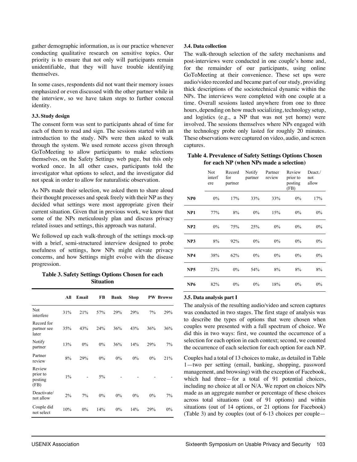gather demographic information, as is our practice whenever conducting qualitative research on sensitive topics. Our priority is to ensure that not only will participants remain unidentifiable, that they will have trouble identifying themselves.

In some cases, respondents did not want their memory issues emphasized or even discussed with the other partner while in the interview, so we have taken steps to further conceal identity.

#### **3.3. Study design**

The consent form was sent to participants ahead of time for each of them to read and sign. The sessions started with an introduction to the study. NPs were then asked to walk through the system. We used remote access given through GoToMeeting to allow participants to make selections themselves, on the Safety Settings web page, but this only worked once. In all other cases, participants told the investigator what options to select, and the investigator did not speak in order to allow for naturalistic observation.

As NPs made their selection, we asked them to share aloud their thought processes and speak freely with their NP as they decided what settings were most appropriate given their current situation. Given that in previous work, we know that some of the NPs meticulously plan and discuss privacy related issues and settings, this approach was natural.

We followed up each walk-through of the settings mock-up with a brief, semi-structured interview designed to probe usefulness of settings, how NPs might elevate privacy concerns, and how Settings might evolve with the disease progression.

**Table 3. Safety Settings Options Chosen for each Situation** 

|                                       | All   | Email | FB    | Bank  | Shop |     | <b>PW Browse</b> |
|---------------------------------------|-------|-------|-------|-------|------|-----|------------------|
| Not<br>interfere                      | 31%   | 21%   | 57%   | 29%   | 29%  | 7%  | 29%              |
| Record for<br>partner see<br>later    | 35%   | 43%   | 24%   | 36%   | 43%  | 36% | 36%              |
| Notify<br>partner                     | 13%   | 0%    | $0\%$ | 36%   | 14%  | 29% | 7%               |
| Partner<br>review                     | 8%    | 29%   | $0\%$ | $0\%$ | 0%   | 0%  | 21%              |
| Review<br>prior to<br>posting<br>(FB) | $1\%$ |       | 5%    |       |      |     |                  |
| Deactivate/<br>not allow              | 2%    | 7%    | $0\%$ | 0%    | 0%   | 0%  | 7%               |
| Couple did<br>not select              | 10%   | 0%    | 14%   | $0\%$ | 14%  | 29% | $0\%$            |

## **3.4. Data collection**

The walk-through selection of the safety mechanisms and post-interviews were conducted in one couple's home and, for the remainder of our participants, using online GoToMeeting at their convenience. These set ups were audio/video recorded and became part of our study, providing thick descriptions of the sociotechnical dynamic within the NPs. The interviews were completed with one couple at a time. Overall sessions lasted anywhere from one to three hours, depending on how much socializing, technology setup, and logistics (e.g., a NP that was not yet home) were involved. The sessions themselves where NPs engaged with the technology probe only lasted for roughly 20 minutes. These observations were captured on video, audio, and screen captures.

## **Table 4. Prevalence of Safety Settings Options Chosen for each NP (when NPs made a selection)**

|                 | Not<br>interf<br>ere | Record<br>for<br>partner | Notify<br>partner | Partner<br>review | Review<br>prior to<br>posting<br>(FB) | Deact./<br>not<br>allow |
|-----------------|----------------------|--------------------------|-------------------|-------------------|---------------------------------------|-------------------------|
| NP <sub>0</sub> | $0\%$                | 17%                      | 33%               | 33%               | $0\%$                                 | 17%                     |
| NP1             | 77%                  | 8%                       | $0\%$             | 15%               | 0%                                    | $0\%$                   |
| NP2             | $0\%$                | 75%                      | 25%               | $0\%$             | $0\%$                                 | $0\%$                   |
| NP3             | 8%                   | 92%                      | $0\%$             | 0%                | 0%                                    | $0\%$                   |
| NP4             | 38%                  | 62%                      | $0\%$             | $0\%$             | 0%                                    | $0\%$                   |
| NP <sub>5</sub> | 23%                  | 0%                       | 54%               | 8%                | 8%                                    | 8%                      |
| NP <sub>6</sub> | 82%                  | $0\%$                    | $0\%$             | 18%               | 0%                                    | $0\%$                   |

## **3.5. Data analysis part I**

The analysis of the resulting audio/video and screen captures was conducted in two stages. The first stage of analysis was to describe the types of options that were chosen when couples were presented with a full spectrum of choice. We did this in two ways: first, we counted the occurrence of a selection for each option in each context; second, we counted the occurrence of each selection for each option for each NP.

Couples had a total of 13 choices to make, as detailed in Table 1—two per setting (email, banking, shopping, password management, and browsing) with the exception of Facebook, which had three—for a total of 91 potential choices, including no choice at all or N/A. We report on choices NPs made as an aggregate number or percentage of these choices across total situations (out of 91 options) and within situations (out of 14 options, or 21 options for Facebook) (Table 3) and by couples (out of 6-13 choices per couple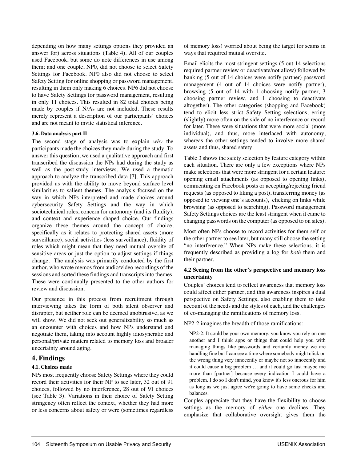depending on how many settings options they provided an answer for) across situations (Table 4). All of our couples used Facebook, but some do note differences in use among them; and one couple, NP0, did not choose to select Safety Settings for Facebook. NP0 also did not choose to select Safety Setting for online shopping or password management, resulting in them only making 6 choices. NP6 did not choose to have Safety Settings for password management, resulting in only 11 choices. This resulted in 82 total choices being made by couples if N/As are not included. These results merely represent a description of our participants' choices and are not meant to invite statistical inference.

#### **3.6. Data analysis part II**

The second stage of analysis was to explain *why* the participants made the choices they made during the study. To answer this question, we used a qualitative approach and first transcribed the discussion the NPs had during the study as well as the post-study interviews. We used a thematic approach to analyze the transcribed data [7]. This approach provided us with the ability to move beyond surface level similarities to salient themes. The analysis focused on the way in which NPs interpreted and made choices around cybersecurity Safety Settings and the way in which sociotechnical roles, concern for autonomy (and its fluidity), and context and experience shaped choice. Our findings organize these themes around the concept of choice, specifically as it relates to protecting shared assets (more surveillance), social activities (less surveillance), fluidity of roles which might mean that they need mutual oversite of sensitive areas or just the option to adjust settings if things change. The analysis was primarily conducted by the first author, who wrote memos from audio/video recordings of the sessions and sorted these findings and transcripts into themes. These were continually presented to the other authors for review and discussion.

Our presence in this process from recruitment through interviewing takes the form of both silent observer and disrupter, but neither role can be deemed unobtrusive, as we will show. We did not seek out generalizability so much as an encounter with choices and how NPs understand and negotiate them, taking into account highly idiosyncratic and personal/private matters related to memory loss and broader uncertainty around aging.

# **4. Findings**

#### **4.1. Choices made**

NPs most frequently choose Safety Settings where they could record their activities for their NP to see later, 32 out of 91 choices, followed by no interference, 28 out of 91 choices (see Table 3). Variations in their choice of Safety Setting stringency often reflect the context, whether they had more or less concerns about safety or were (sometimes regardless

of memory loss) worried about being the target for scams in ways that required mutual oversite.

Email elicits the most stringent settings (5 out 14 selections required partner review or deactivate/not allow) followed by banking (5 out of 14 choices were notify partner) password management (4 out of 14 choices were notify partner), browsing (5 out of 14 with 1 choosing notify partner, 3 choosing partner review, and 1 choosing to deactivate altogether). The other categories (shopping and Facebook) tend to elicit less strict Safety Setting selections, erring (slightly) more often on the side of no interference or record for later. These were situations that were more social (more individual), and thus, more interlaced with autonomy, whereas the other settings tended to involve more shared assets and thus, shared safety.

Table 3 shows the safety selection by feature category within each situation. There are only a few exceptions where NPs make selections that were more stringent for a certain feature: opening email attachments (as opposed to opening links), commenting on Facebook posts or accepting/rejecting friend requests (as opposed to liking a post), transferring money (as opposed to viewing one's accounts), clicking on links while browsing (as opposed to searching). Password management Safety Settings choices are the least stringent when it came to changing passwords on the computer (as opposed to on sites).

Most often NPs choose to record activities for them self or the other partner to see later, but many still choose the setting "no interference." When NPs make these selections, it is frequently described as providing a log for *both* them and their partner.

## **4.2 Seeing from the other's perspective and memory loss uncertainty**

Couples' choices tend to reflect awareness that memory loss could affect either partner, and this awareness inspires a dual perspective on Safety Settings, also enabling them to take account of the needs and the styles of each, and the challenges of co-managing the ramifications of memory loss.

NP2-2 imagines the breadth of those ramifications:

NP2-2: It could be your own memory, you know you rely on one another and I think apps or things that could help you with managing things like passwords and certainly money we are handling fine but I can see a time where somebody might click on the wrong thing very innocently or maybe not so innocently and it could cause a big problem … and it could go fast maybe me more than [partner] because every indication I could have a problem. I do so I don't mind, you know it's less onerous for him as long as we just agree we're going to have some checks and balances.

Couples appreciate that they have the flexibility to choose settings as the memory of *either* one declines. They emphasize that collaborative oversight gives them the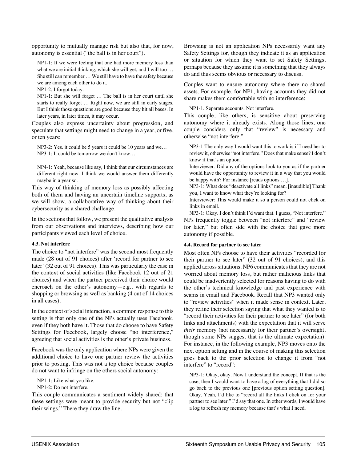opportunity to mutually manage risk but also that, for now, autonomy is essential ("the ball is in her court").

NP1-1: If we were feeling that one had more memory loss than what we are initial thinking, which she will get, and I will too ... She still can remember … We still have to have the safety because we are among each other to do it.

NP1-2: I forgot today.

NP1-1: But she will forget … The ball is in her court until she starts to really forget … Right now, we are still in early stages. But I think those questions are good because they hit all bases. In later years, in later times, it may occur.

Couples also express uncertainty about progression, and speculate that settings might need to change in a year, or five, or ten years:

NP3-2: Yes. it could be 5 years it could be 10 years and we… NP3-1: It could be tomorrow we don't know…

NP4-1: Yeah, because like say, I think that our circumstances are different right now. I think we would answer them differently maybe in a year so.

This way of thinking of memory loss as possibly affecting both of them and having an uncertain timeline supports, as we will show, a collaborative way of thinking about their cybersecurity as a shared challenge.

In the sections that follow, we present the qualitative analysis from our observations and interviews, describing how our participants viewed each level of choice.

#### **4.3. Not interfere**

The choice to "not interfere" was the second most frequently made (28 out of 91 choices) after 'record for partner to see later' (32 out of 91 choices). This was particularly the case in the context of social activities (like Facebook 12 out of 21 choices) and when the partner perceived their choice would encroach on the other's autonomy—e.g., with regards to shopping or browsing as well as banking (4 out of 14 choices in all cases).

In the context of social interaction, a common response to this setting is that only one of the NPs actually uses Facebook, even if they both have it. Those that do choose to have Safety Settings for Facebook, largely choose "no interference," agreeing that social activities is the other's private business.

Facebook was the only application where NPs were given the additional choice to have one partner review the activities prior to posting. This was not a top choice because couples do not want to infringe on the others social autonomy:

NP1-1: Like what you like.

NP1-2: Do not interfere.

This couple communicates a sentiment widely shared: that these settings were meant to provide security but not "clip their wings." There they draw the line.

Browsing is not an application NPs necessarily want any Safety Settings for, though they indicate it as an application or situation for which they want to set Safety Settings, perhaps because they assume it is something that they always do and thus seems obvious or necessary to discuss.

Couples want to ensure autonomy where there no shared assets. For example, for NP1, having accounts they did not share makes them comfortable with no interference:

NP1-1. Separate accounts. Not interfere.

This couple, like others, is sensitive about preserving autonomy where it already exists. Along those lines, one couple considers only that "review" is necessary and otherwise "not interfere."

NP3-1 The only way I would want this to work is if I need her to review it, otherwise "not interfere." Does that make sense? I don't know if that's an option.

Interviewer: Did any of the options look to you as if the partner would have the opportunity to review it in a way that you would be happy with? For instance [reads options …].

NP3-1: What does "deactivate all links" mean. [inaudible] Thank you, I want to know what they're looking for?

Interviewer: This would make it so a person could not click on links in email.

NP3-1: Okay. I don't think I'd want that. I guess, "Not interfere." NPs frequently toggle between "not interfere" and "review for later," but often side with the choice that gave more autonomy if possible.

## **4.4. Record for partner to see later**

Most often NPs choose to have their activities "recorded for their partner to see later" (32 out of 91 choices), and this applied across situations. NP6 communicates that they are not worried about memory loss, but rather malicious links that could be inadvertently selected for reasons having to do with the other's technical knowledge and past experience with scams in email and Facebook. Recall that NP3 wanted only to "review activities" when it made sense in context. Later, they refine their selection saying that what they wanted is to "record their activities for their partner to see later" (for both links and attachments) with the expectation that it will serve *their* memory (not necessarily for their partner's oversight, though some NPs suggest that is the ultimate expectation). For instance, in the following example, NP3 moves onto the next option setting and in the course of making this selection goes back to the prior selection to change it from "not interfere" to "record":

NP3-1: Okay, okay. Now I understand the concept. If that is the case, then I would want to have a log of everything that I did so go back to the previous one [previous option setting question]. Okay. Yeah, I'd like to "record all the links I click on for your partner to see later." I'd say that one. In other words, I would have a log to refresh my memory because that's what I need.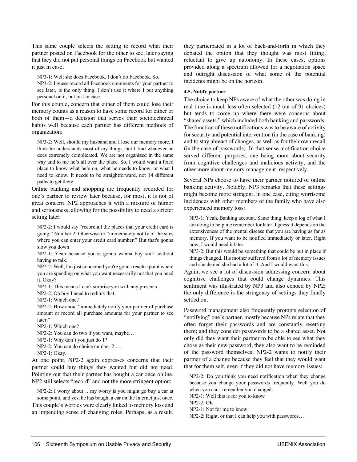This same couple selects the setting to record what their partner posted on Facebook for the other to see, later saying that they did not put personal things on Facebook but wanted it just in case.

NP3-1: Well she does Facebook. I don't do Facebook. So.

NP3-2: I guess record all Facebook comments for your partner to see later, is the only thing. I don't use it where I put anything personal on it, but just in case.

For this couple, concern that either of them could lose their memory counts as a reason to have some record for either or both of them—a decision that serves their sociotechnical habits well because each partner has different methods of organization:

NP3-2: Well, should my husband and I lose our memory more, I think he understands most of my things, but I find whatever he does extremely complicated. We are not organized in the same way and to me he's all over the place. So, I would want a fixed place to know what he's on, what he needs to know, or what I need to know. It needs to be straightforward, not 14 different paths to get there.

Online banking and shopping are frequently recorded for one's partner to review later because, for most, it is not of great concern. NP2 approaches it with a mixture of humor and seriousness, allowing for the possibility to need a stricter setting later:

NP2-2: I would say "record all the places that your credit card is going." Number 2. Otherwise or "immediately notify of the sites where you can enter your credit card number." But that's gonna slow you down.

NP2-1: Yeah because you're gonna wanna buy stuff without having to talk.

NP2-2: Well, I'm just concerned you're gonna reach a point where you are spending on what you want necessarily not that you need it. Okay?

NP2-1: This means I can't surprise you with any presents.

NP2-2: Oh boy I need to rethink that.

NP2-1: Which one?

NP2-2: How about "immediately notify your partner of purchase amount or record all purchase amounts for your partner to see later."

NP2-1: Which one?

NP2-2: You can do two if you want, maybe…

NP2-1: Why don't you just do 1?

NP2-2: You can do choice number 2 ….

NP2-1: Okay.

At one point, NP2-2 again expresses concerns that their partner could buy things they wanted but did not need. Pointing out that their partner has bought a car once online, NP2 still selects "record" and not the more stringent option:

NP2-2: I worry about… my worry is you might go buy a car at some point, and yes, he has bought a car on the Internet just once. This couple's worries were clearly linked to memory loss and an impending sense of changing roles. Perhaps, as a result,

they participated in a lot of back-and-forth in which they debated the option that they thought was most fitting, reluctant to give up autonomy. In these cases, options provided along a spectrum allowed for a negotiation space and outright discussion of what some of the potential incidents might be on the horizon.

#### **4.5. Notify partner**

The choice to keep NPs aware of what the other was doing in real time is much less often selected (12 out of 91 choices) but tends to come up where there were concerns about "shared assets," which included both banking and passwords. The function of these notifications was to be aware of activity for security and potential intervention (in the case of banking) and to stay abreast of changes, as well as for their own recall (in the case of passwords). In that sense, notification choice served different purposes, one being more about security from cognitive challenges and malicious activity, and the other more about memory management, respectively.

Several NPs choose to have their partner notified of online banking activity. Notably, NP3 remarks that these settings might become more stringent, in one case, citing worrisome incidences with other members of the family who have also experienced memory loss:

NP3-1: Yeah. Banking account. Same thing: keep a log of what I am doing to help me remember for later. I guess it depends on the extensiveness of the mental disease that you are having as far as memory. If you want to be notified immediately or later. Right now, I would need it later.

NP3-2: But this would be something that could be put in place if things changed. His mother suffered from a lot of memory issues and she denied she had a lot of it. And I would want this.

Again, we see a lot of discussion addressing concern about cognitive challenges that could change dynamics. This sentiment was illustrated by NP3 and also echoed by NP2; the only difference is the stringency of settings they finally settled on.

Password management also frequently prompts selection of "notifying" one's partner, mostly because NPs relate that they often forget their passwords and are constantly resetting them; and they consider passwords to be a shared asset. Not only did they want their partner to be able to see what they chose as their new password, they also want to be reminded of the password themselves. NP2-2 wants to notify their partner of a change because they feel that they would want that for them self, even if they did not have memory issues:

NP2-2: Do you think you need notification when they change because you change your passwords frequently. Well you do when you can't remember you changed…

NP2-1: Well this is for you to know

NP2-2: OK

NP2-1: Not for me to know

NP2-2: Right, or that I can help you with passwords…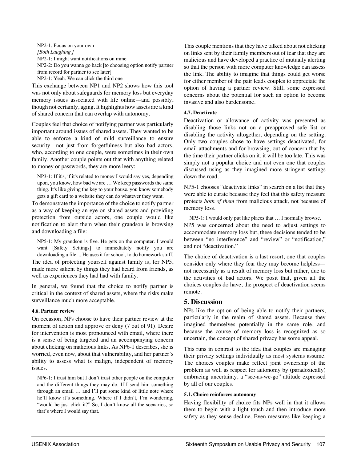NP2-1: Focus on your own *[Both Laughing ]* NP2-1: I might want notifications on mine NP2-2: Do you wanna go back [to choosing option notify partner from record for partner to see later] NP2-1: Yeah. We can click the third one

This exchange between NP1 and NP2 shows how this tool was not only about safeguards for memory loss but everyday memory issues associated with life online—and possibly, though not certainly, aging. It highlights how assets are a kind of shared concern that can overlap with autonomy.

Couples feel that choice of notifying partner was particularly important around issues of shared assets. They wanted to be able to enforce a kind of mild surveillance to ensure security—not just from forgetfulness but also bad actors, who, according to one couple, were sometimes in their own family. Another couple points out that with anything related to money or passwords, they are more leery:

NP3-1: If it's, if it's related to money I would say yes, depending upon, you know, how bad we are … We keep passwords the same thing. It's like giving the key to your house. you know somebody gets a gift card to a website they can do whatever they want.

To demonstrate the importance of the choice to notify partner as a way of keeping an eye on shared assets and providing protection from outside actors, one couple would like notification to alert them when their grandson is browsing and downloading a file:

NP5-1: My grandson is five. He gets on the computer. I would want [Safety Settings] to immediately notify you are downloading a file ... He uses it for school, to do homework stuff. The idea of protecting yourself against family is, for NP5, made more salient by things they had heard from friends, as well as experiences they had had with family.

In general, we found that the choice to notify partner is critical in the context of shared assets, where the risks make surveillance much more acceptable.

## **4.6. Partner review**

On occasion, NPs choose to have their partner review at the moment of action and approve or deny (7 out of 91). Desire for intervention is most pronounced with email, where there is a sense of being targeted and an accompanying concern about clicking on malicious links. As NP6-1 describes, she is worried, even now, about that vulnerability, and her partner's ability to assess what is malign, independent of memory issues.

NP6-1: I trust him but I don't trust other people on the computer and the different things they may do. If I send him something through an email … and I'll put some kind of little note where he'll know it's something. Where if I didn't, I'm wondering, "would he just click it?" So, I don't know all the scenarios, so that's where I would say that.

This couple mentions that they have talked about not clicking on links sent by their family members out of fear that they are malicious and have developed a practice of mutually alerting so that the person with more computer knowledge can assess the link. The ability to imagine that things could get worse for either member of the pair leads couples to appreciate the option of having a partner review. Still, some expressed concerns about the potential for such an option to become invasive and also burdensome.

## **4.7. Deactivate**

Deactivation or allowance of activity was presented as disabling those links not on a preapproved safe list or disabling the activity altogether, depending on the setting. Only two couples chose to have settings deactivated, for email attachments and for browsing, out of concern that by the time their partner clicks on it, it will be too late. This was simply not a popular choice and not even one that couples discussed using as they imagined more stringent settings down the road.

NP5-1 chooses "deactivate links" in search on a list that they were able to curate because they feel that this safety measure protects *both of them* from malicious attack, not because of memory loss.

NP5-1: I would only put like places that … I normally browse. NP5 was concerned about the need to adjust settings to accommodate memory loss but, these decisions tended to be between "no interference" and "review" or "notification," and not "deactivation."

The choice of deactivation is a last resort, one that couples consider only where they fear they may become helpless not necessarily as a result of memory loss but rather, due to the activities of bad actors. We posit that, given all the choices couples do have, the prospect of deactivation seems remote.

# **5. Discussion**

NPs like the option of being able to notify their partners, particularly in the realm of shared assets. Because they imagined themselves potentially in the same role, and because the course of memory loss is recognized as so uncertain, the concept of shared privacy has some appeal.

This runs in contrast to the idea that couples are managing their privacy settings individually as most systems assume. The choices couples make reflect joint ownership of the problem as well as respect for autonomy by (paradoxically) embracing uncertainty, a "see-as-we-go" attitude expressed by all of our couples.

# **5.1. Choice reinforces autonomy**

Having flexibility of choice fits NPs well in that it allows them to begin with a light touch and then introduce more safety as they sense decline. Even measures like keeping a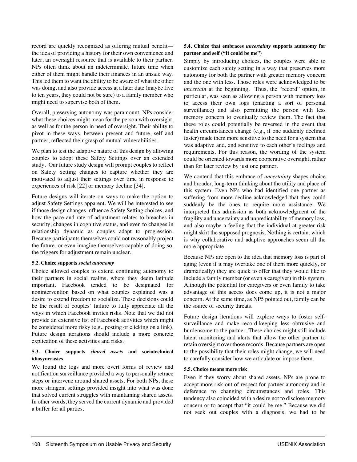record are quickly recognized as offering mutual benefit the idea of providing a history for their own convenience and later, an oversight resource that is available to their partner. NPs often think about an indeterminate, future time when either of them might handle their finances in an unsafe way. This led them to want the ability to be aware of what the other was doing, and also provide access at a later date (maybe five to ten years, they could not be sure) to a family member who might need to supervise both of them.

Overall, preserving autonomy was paramount. NPs consider what these choices might mean for the person with oversight, as well as for the person in need of oversight. Their ability to pivot in these ways, between present and future, self and partner, reflected their grasp of mutual vulnerabilities.

We plan to test the adaptive nature of this design by allowing couples to adopt these Safety Settings over an extended study. Our future study design will prompt couples to reflect on Safety Setting changes to capture whether they are motivated to adjust their settings over time in response to experiences of risk [22] or memory decline [34].

Future designs will iterate on ways to make the option to adjust Safety Settings apparent. We will be interested to see if those design changes influence Safety Setting choices, and how the pace and rate of adjustment relates to breaches in security, changes in cognitive status, and even to changes in relationship dynamic as couples adapt to progression. Because participants themselves could not reasonably project the future, or even imagine themselves capable of doing so, the triggers for adjustment remain unclear.

#### **5.2. Choice supports** *social autonomy*

Choice allowed couples to extend continuing autonomy to their partners in social realms, where they deem latitude important. Facebook tended to be designated for nonintervention based on what couples explained was a desire to extend freedom to socialize. These decisions could be the result of couples' failure to fully appreciate all the ways in which Facebook invites risks. Note that we did not provide an extensive list of Facebook activities which might be considered more risky (e.g., posting or clicking on a link). Future design iterations should include a more concrete explication of these activities and risks.

## **5.3. Choice supports** *shared assets* **and sociotechnical idiosyncrasies**

We found the logs and more overt forms of review and notification surveillance provided a way to personally retrace steps or intervene around shared assets. For both NPs, these more stringent settings provided insight into what was done that solved current struggles with maintaining shared assets. In other words, they served the current dynamic and provided a buffer for all parties.

## **5.4. Choice that embraces** *uncertainty* **supports autonomy for partner and self ("It could be me")**

Simply by introducing choices, the couples were able to customize each safety setting in a way that preserves more autonomy for both the partner with greater memory concern and the one with less. Those roles were acknowledged to be *uncertain* at the beginning. Thus, the "record" option, in particular, was seen as allowing a person with memory loss to access their own logs (enacting a sort of personal surveillance) and also permitting the person with less memory concern to eventually review them. The fact that these roles could potentially be reversed in the event that health circumstances change (e.g., if one suddenly declined faster) made them more sensitive to the need for a system that was adaptive and, and sensitive to each other's feelings and requirements. For this reason, the wording of the system could be oriented towards more cooperative oversight, rather than for later review by just one partner.

We contend that this embrace of *uncertainty* shapes choice and broader, long-term thinking about the utility and place of this system. Even NPs who had identified one partner as suffering from more decline acknowledged that they could suddenly be the ones to require more assistance. We interpreted this admission as both acknowledgment of the fragility and uncertainty and unpredictability of memory loss, and also maybe a feeling that the individual at greater risk might skirt the supposed prognosis. Nothing is certain, which is why collaborative and adaptive approaches seem all the more appropriate.

Because NPs are open to the idea that memory loss is part of aging (even if it may overtake one of them more quickly, or dramatically) they are quick to offer that they would like to include a family member (or even a caregiver) in this system. Although the potential for caregivers or even family to take advantage of this access does come up, it is not a major concern. At the same time, as NP5 pointed out, family can be the source of security threats.

Future design iterations will explore ways to foster selfsurveillance and make record-keeping less obtrusive and burdensome to the partner. These choices might still include latent monitoring and alerts that allow the other partner to retain oversight over those records. Because partners are open to the possibility that their roles might change, we will need to carefully consider how we articulate or impose them.

## **5.5. Choice means more risk**

Even if they worry about shared assets, NPs are prone to accept more risk out of respect for partner autonomy and in deference to changing circumstances and roles. This tendency also coincided with a desire not to disclose memory concern or to accept that "it could be me." Because we did not seek out couples with a diagnosis, we had to be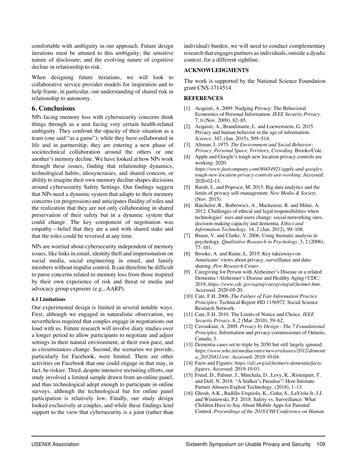comfortable with ambiguity in our approach. Future design iterations must be attuned to this ambiguity; the sensitive nature of disclosure; and the evolving nature of cognitive decline in relationship to risk.

When designing future iterations, we will look to collaborative service provider models for inspiration and to help frame, in particular, our understanding of shared risk in relationship to autonomy.

## **6. Conclusions**

NPs facing memory loss with cybersecurity concerns think things through as a unit facing very certain health-related ambiguity. They confront the opacity of their situation as a team (one said "as a game"); while they have collaborated in life and in partnership, they are entering a new phase of sociotechnical collaboration around the others or one another's memory decline. We have looked at how NPs work through these issues, finding that relationship dynamics, technological habits, idiosyncrasies, and shared concern, or ability to imagine their own memory decline shapes decisions around cybersecurity Safety Settings. Our findings suggest that NPs need a dynamic system that adapts to their memory concerns (or progression) and anticipates fluidity of roles and the realization that they are not only collaborating in shared preservation of their safety but in a dynamic system that could change. The key component of negotiation was empathy—belief that they are a unit with shared stake and that the roles could be reversed at any time.

NPs are worried about cybersecurity independent of memory issues, like links in email, identity theft and impersonation on social media, social engineering in email, and family members without impulse control. It can therefore be difficult to parse concerns related to memory loss from those inspired by their own experience of risk and threat or media and advocacy group exposure (e.g., AARP).

## **6.1 Limitations**

Our experimental design is limited in several notable ways. First, although we engaged in naturalistic observation, we nevertheless required that couples engage in negotiations out loud with us. Future research will involve diary studies over a longer period to allow participants to negotiate and adjust settings in their natural environment, at their own pace, and as circumstances change. Second, the scenarios we provide, particularly for Facebook, were limited. There are other activities on Facebook that one could engage in that may, in fact, be riskier. Third, despite intensive recruiting efforts, our study involved a limited sample drawn from an online panel, and thus technological adept enough to participate in online surveys, although the technological bar for online panel participation is relatively low. Finally, our study design looked exclusively at couples, and while these findings lend support to the view that cybersecurity is a joint (rather than

individual) burden, we will need to conduct complementary research that engages partners as individuals, outside a dyadic context, for a different sightline.

#### **ACKNOWLEDGMENTS**

The work is supported by the National Science Foundation grant CNS-1714514.

#### **REFERENCES**

- [1] Acquisti, A. 2009. Nudging Privacy: The Behavioral Economics of Personal Information. *IEEE Security Privacy*. 7, 6 (Nov. 2009), 82–85.
- [2] Acquisti, A., Brandimarte, L. and Loewenstein, G. 2015. Privacy and human behavior in the age of information. *Science*. 347, (Jan. 2015), 509–514.
- [3] Altman, I. 1975. *The Environment and Social Behavior: Privacy, Personal Space, Territory, Crowding*. Brooks/Cole.
- [4] Apple and Google's tough new location privacy controls are working: 2020. *https://www.fastcompany.com/90454921/apple-and-googlestough-new-location-privacy-controls-are-working*. Accessed: 2020-02-13.
- [5] Baruh, L. and Popescu, M. 2015. Big data analytics and the limits of privacy self-management: *New Media & Society*. (Nov. 2015).
- [6] Batchelor, R., Bobrowicz, A., Mackenzie, R. and Milne, A. 2012. Challenges of ethical and legal responsibilities when technologies' uses and users change: social networking sites, decision-making capacity and dementia. *Ethics and Information Technology*. 14, 2 (Jun. 2012), 99–108.
- [7] Braun, V. and Clarke, V. 2006. Using thematic analysis in psychology. *Qualitative Research in Psychology*. 3, 2 (2006), 77–101.
- [8] Brooke, A. and Raine, L. 2019. Key takeaways on Americans' views about privacy, surveillance and datasharing. *Pew Research Center*.
- [9] Caregiving for Person with Alzheimer's Disease or a related Dementia | Alzheimer's Disease and Healthy Aging | CDC: 2019. *https://www.cdc.gov/aging/caregiving/alzheimer.htm*. Accessed: 2020-05-20.
- [10] Cate, F.H. 2006. *The Failure of Fair Information Practice Principles*. Technical Report #ID 1156972. Social Science Research Network.
- [11] Cate, F.H. 2010. The Limits of Notice and Choice. *IEEE Security Privacy*. 8, 2 (Mar. 2010), 59–62.
- [12] Cavoukian, A. 2009. *Privacy by Design - The 7 Foundational Principles*. Information and privacy commissioner of Ontario, Canada, 5.
- [13] Dementia cases set to triple by 2050 but still largely ignored: *https://www.who.int/mediacentre/news/releases/2012/dementi a\_20120411/en/*. Accessed: 2019-10-04.
- [14] Facts and Figures: *https://alz.org/alzheimers-dementia/factsfigures*. Accessed: 2019-10-03.
- [15] Freed, D., Palmer, J., Minchala, D., Levy, K., Ristenpart, T. and Dell, N. 2018. "A Stalker's Paradise": How Intimate Partner Abusers Exploit Technology. (2018), 1–13.
- [16] Ghosh, A.K., Badillo-Urquiola, K., Guha, S., LaViola Jr, J.J. and Wisniewski, P.J. 2018. Safety vs. Surveillance: What Children Have to Say About Mobile Apps for Parental Control. *Proceedings of the 2018 CHI Conference on Human*